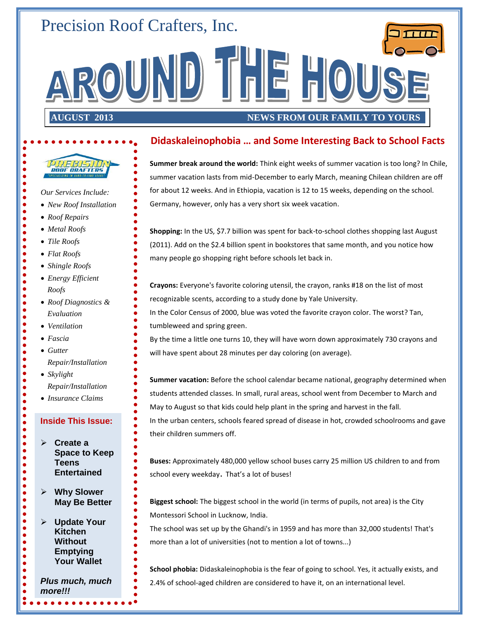## Precision Roof Crafters, Inc.

**AUGUST 2013** 

#### **NEWS FROM OUR FAMILY TO YOURS**

#### **Didaskaleinophobia … and Some Interesting Back to School Facts**

AROUND THE HOUSE

**Summer break around the world:** Think eight weeks of summer vacation is too long? In Chile, summer vacation lasts from mid-December to early March, meaning Chilean children are off for about 12 weeks. And in Ethiopia, vacation is 12 to 15 weeks, depending on the school. Germany, however, only has a very short six week vacation.

**Shopping:** In the US, \$7.7 billion was spent for back-to-school clothes shopping last August (2011). Add on the \$2.4 billion spent in bookstores that same month, and you notice how many people go shopping right before schools let back in.

**Crayons:** Everyone's favorite coloring utensil, the crayon, ranks #18 on the list of most recognizable scents, according to a study done by Yale University.

In the Color Census of 2000, blue was voted the favorite crayon color. The worst? Tan, tumbleweed and spring green.

By the time a little one turns 10, they will have worn down approximately 730 crayons and will have spent about 28 minutes per day coloring (on average).

**Summer vacation:** Before the school calendar became national, geography determined when students attended classes. In small, rural areas, school went from December to March and May to August so that kids could help plant in the spring and harvest in the fall.

In the urban centers, schools feared spread of disease in hot, crowded schoolrooms and gave their children summers off.

**Buses:** Approximately 480,000 yellow school buses carry 25 million US children to and from school every weekday. That's a lot of buses!

**Biggest school:** The biggest school in the world (in terms of pupils, not area) is the City Montessori School in Lucknow, India.

The school was set up by the Ghandi's in 1959 and has more than 32,000 students! That's more than a lot of universities (not to mention a lot of towns...)

**School phobia:** Didaskaleinophobia is the fear of going to school. Yes, it actually exists, and 2.4% of school-aged children are considered to have it, on an international level.

 **Create a Space to Keep Teens Entertained May Be Better Update Your Kitchen Without Emptying Your Wallet** *Roof Diagnostics & Evaluation Repair/Installation Skylight Repair/Installation Insurance Claims*

*Our Services Include:*

**PREBISION** 

- *New Roof Installation*
- *Roof Repairs*

 $\bullet$  $\bullet$  $\bullet$  $\bullet$  $\bullet$  $\bullet$  $\bullet$  $\bullet$  $\bullet$  $\bullet$  $\bullet$  $\bullet$  $\bullet$  $\bullet$  $\bullet$  $\bullet$  $\bullet$  $\bullet$  $\bullet$  $\bullet$  $\bullet$ 

- *Metal Roofs*
- *Tile Roofs*
- *Flat Roofs*
- *Shingle Roofs*
- *Energy Efficient Roofs*
- 
- *Ventilation*
- *Fascia*
- *Gutter*

 $\bullet$  $\bullet$  $\bullet$  $\bullet$  $\bullet$  $\bullet$  $\bullet$  $\bullet$  $\ddot{\bullet}$  $\bullet$  $\bullet$  $\bullet$ 

 $\bullet$  $\bullet$  $\bullet$  $\bullet$ 

 $\begin{array}{c} \bullet \\ \bullet \\ \bullet \\ \bullet \end{array}$ 

 $\bullet$  $\bullet$  $\bullet$  $\bullet$ 

- 
- 

#### **Inside This Issue:**

**Why Slower** 

*Plus much, much more!!!*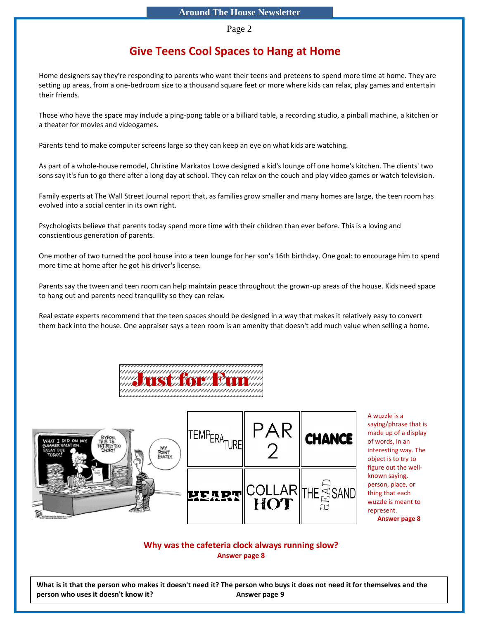Page 2

## **Give Teens Cool Spaces to Hang at Home**

Home designers say they're responding to parents who want their teens and preteens to spend more time at home. They are setting up areas, from a one-bedroom size to a thousand square feet or more where kids can relax, play games and entertain their friends.

Those who have the space may include a ping-pong table or a billiard table, a recording studio, a pinball machine, a kitchen or a theater for movies and videogames.

Parents tend to make computer screens large so they can keep an eye on what kids are watching.

As part of a whole-house remodel, Christine Markatos Lowe designed a kid's lounge off one home's kitchen. The clients' two sons say it's fun to go there after a long day at school. They can relax on the couch and play video games or watch television.

Family experts at The Wall Street Journal report that, as families grow smaller and many homes are large, the teen room has evolved into a social center in its own right.

Psychologists believe that parents today spend more time with their children than ever before. This is a loving and conscientious generation of parents.

One mother of two turned the pool house into a teen lounge for her son's 16th birthday. One goal: to encourage him to spend more time at home after he got his driver's license.

Parents say the tween and teen room can help maintain peace throughout the grown-up areas of the house. Kids need space to hang out and parents need tranquility so they can relax.

Real estate experts recommend that the teen spaces should be designed in a way that makes it relatively easy to convert them back into the house. One appraiser says a teen room is an amenity that doesn't add much value when selling a home.





A wuzzle is a saying/phrase that is made up of a display of words, in an interesting way. The object is to try to figure out the wellknown saying, person, place, or thing that each wuzzle is meant to represent. **Answer page 8**

#### **Why was the cafeteria clock always running slow? Answer page 8**

**What is it that the person who makes it doesn't need it? The person who buys it does not need it for themselves and the person who uses it doesn't know it?** Answer page 9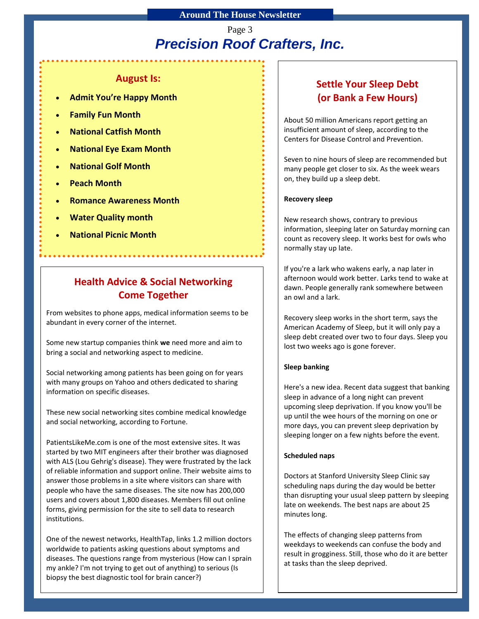## *Precision Roof Crafters, Inc.* Page 3

#### **August Is:**

- **Admit You're Happy Month**
- **Family Fun Month**
- **National Catfish Month**
- **National Eye Exam Month**
- **National Golf Month**
- **Peach Month**
- **Romance Awareness Month**
- **Water Quality month**
- **National Picnic Month**

## **Health Advice & Social Networking Come Together**

From websites to phone apps, medical information seems to be abundant in every corner of the internet.

Some new startup companies think **we** need more and aim to bring a social and networking aspect to medicine.

Social networking among patients has been going on for years with many groups on Yahoo and others dedicated to sharing information on specific diseases.

These new social networking sites combine medical knowledge and social networking, according to Fortune.

PatientsLikeMe.com is one of the most extensive sites. It was started by two MIT engineers after their brother was diagnosed with ALS (Lou Gehrig's disease). They were frustrated by the lack of reliable information and support online. Their website aims to answer those problems in a site where visitors can share with people who have the same diseases. The site now has 200,000 users and covers about 1,800 diseases. Members fill out online forms, giving permission for the site to sell data to research institutions.

One of the newest networks, HealthTap, links 1.2 million doctors worldwide to patients asking questions about symptoms and diseases. The questions range from mysterious (How can I sprain my ankle? I'm not trying to get out of anything) to serious (Is biopsy the best diagnostic tool for brain cancer?)

## **Settle Your Sleep Debt (or Bank a Few Hours)**

About 50 million Americans report getting an insufficient amount of sleep, according to the Centers for Disease Control and Prevention.

Seven to nine hours of sleep are recommended but many people get closer to six. As the week wears on, they build up a sleep debt.

#### **Recovery sleep**

New research shows, contrary to previous information, sleeping later on Saturday morning can count as recovery sleep. It works best for owls who normally stay up late.

If you're a lark who wakens early, a nap later in afternoon would work better. Larks tend to wake at dawn. People generally rank somewhere between an owl and a lark.

Recovery sleep works in the short term, says the American Academy of Sleep, but it will only pay a sleep debt created over two to four days. Sleep you lost two weeks ago is gone forever.

#### **Sleep banking**

Here's a new idea. Recent data suggest that banking sleep in advance of a long night can prevent upcoming sleep deprivation. If you know you'll be up until the wee hours of the morning on one or more days, you can prevent sleep deprivation by sleeping longer on a few nights before the event.

#### **Scheduled naps**

Doctors at Stanford University Sleep Clinic say scheduling naps during the day would be better than disrupting your usual sleep pattern by sleeping late on weekends. The best naps are about 25 minutes long.

The effects of changing sleep patterns from weekdays to weekends can confuse the body and result in grogginess. Still, those who do it are better at tasks than the sleep deprived.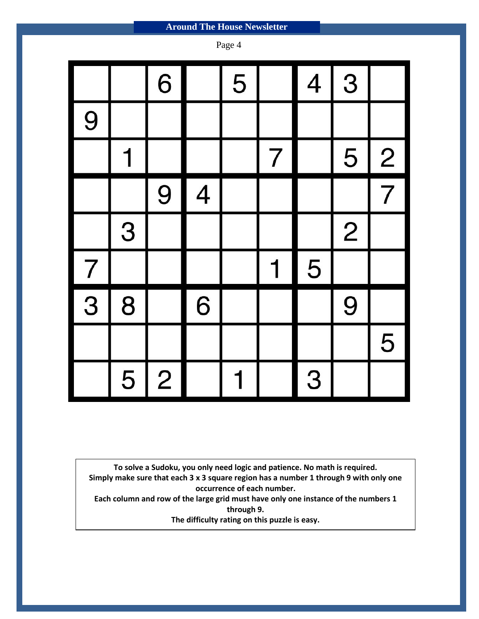| Page 4 |   |                |   |   |                |                |                |   |  |
|--------|---|----------------|---|---|----------------|----------------|----------------|---|--|
|        |   | 6              |   | 5 |                | $\overline{4}$ | 3              |   |  |
| 9      |   |                |   |   |                |                |                |   |  |
|        | 1 |                |   |   | $\overline{7}$ |                | 5              | 2 |  |
|        |   | 9              | 4 |   |                |                |                | 7 |  |
|        | 3 |                |   |   |                |                | $\overline{2}$ |   |  |
| 7      |   |                |   |   |                | 5              |                |   |  |
| 3      | 8 |                | 6 |   |                |                | 9              |   |  |
|        |   |                |   |   |                |                |                | 5 |  |
|        | 5 | $\overline{2}$ |   |   |                | 3              |                |   |  |

**To solve a Sudoku, you only need logic and patience. No math is required. Simply make sure that each 3 x 3 square region has a number 1 through 9 with only one occurrence of each number.**

**Each column and row of the large grid must have only one instance of the numbers 1 through 9.**

**The difficulty rating on this puzzle is easy.**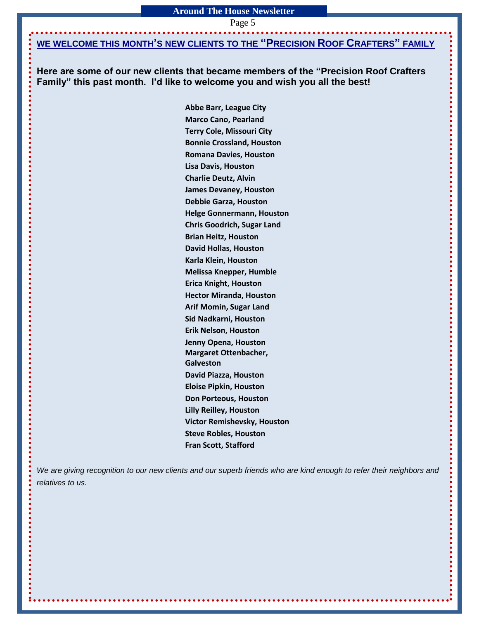Page 5

#### **WE WELCOME THIS MONTH'S NEW CLIENTS TO THE "PRECISION ROOF CRAFTERS" FAMILY**

**Here are some of our new clients that became members of the "Precision Roof Crafters Family" this past month. I'd like to welcome you and wish you all the best!**

> **Abbe Barr, League City Marco Cano, Pearland Terry Cole, Missouri City Bonnie Crossland, Houston Romana Davies, Houston Lisa Davis, Houston Charlie Deutz, Alvin James Devaney, Houston Debbie Garza, Houston Helge Gonnermann, Houston Chris Goodrich, Sugar Land Brian Heitz, Houston David Hollas, Houston Karla Klein, Houston Melissa Knepper, Humble Erica Knight, Houston Hector Miranda, Houston Arif Momin, Sugar Land Sid Nadkarni, Houston Erik Nelson, Houston Jenny Opena, Houston Margaret Ottenbacher, Galveston David Piazza, Houston Eloise Pipkin, Houston Don Porteous, Houston Lilly Reilley, Houston Victor Remishevsky, Houston Steve Robles, Houston Fran Scott, Stafford**

We are giving recognition to our new clients and our superb friends who are kind enough to refer their neighbors and *relatives to us.*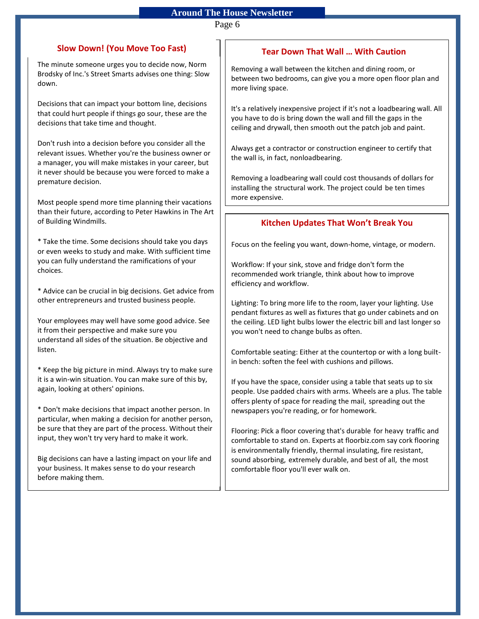Page 6

#### **Slow Down! (You Move Too Fast)**

The minute someone urges you to decide now, Norm Brodsky of Inc.'s Street Smarts advises one thing: Slow down.

Decisions that can impact your bottom line, decisions that could hurt people if things go sour, these are the decisions that take time and thought.

Don't rush into a decision before you consider all the relevant issues. Whether you're the business owner or a manager, you will make mistakes in your career, but it never should be because you were forced to make a premature decision.

Most people spend more time planning their vacations than their future, according to Peter Hawkins in The Art of Building Windmills.

\* Take the time. Some decisions should take you days or even weeks to study and make. With sufficient time you can fully understand the ramifications of your choices.

\* Advice can be crucial in big decisions. Get advice from other entrepreneurs and trusted business people.

Your employees may well have some good advice. See it from their perspective and make sure you understand all sides of the situation. Be objective and listen.

\* Keep the big picture in mind. Always try to make sure it is a win-win situation. You can make sure of this by, again, looking at others' opinions.

\* Don't make decisions that impact another person. In particular, when making a decision for another person, be sure that they are part of the process. Without their input, they won't try very hard to make it work.

Big decisions can have a lasting impact on your life and your business. It makes sense to do your research before making them.

#### **Tear Down That Wall … With Caution**

Removing a wall between the kitchen and dining room, or between two bedrooms, can give you a more open floor plan and more living space.

It's a relatively inexpensive project if it's not a loadbearing wall. All you have to do is bring down the wall and fill the gaps in the ceiling and drywall, then smooth out the patch job and paint.

Always get a contractor or construction engineer to certify that the wall is, in fact, nonloadbearing.

Removing a loadbearing wall could cost thousands of dollars for installing the structural work. The project could be ten times more expensive.

#### **Kitchen Updates That Won't Break You**

Focus on the feeling you want, down-home, vintage, or modern.

Workflow: If your sink, stove and fridge don't form the recommended work triangle, think about how to improve efficiency and workflow.

Lighting: To bring more life to the room, layer your lighting. Use pendant fixtures as well as fixtures that go under cabinets and on the ceiling. LED light bulbs lower the electric bill and last longer so you won't need to change bulbs as often.

Comfortable seating: Either at the countertop or with a long builtin bench: soften the feel with cushions and pillows.

If you have the space, consider using a table that seats up to six people. Use padded chairs with arms. Wheels are a plus. The table offers plenty of space for reading the mail, spreading out the newspapers you're reading, or for homework.

Flooring: Pick a floor covering that's durable for heavy traffic and comfortable to stand on. Experts at floorbiz.com say cork flooring is environmentally friendly, thermal insulating, fire resistant, sound absorbing, extremely durable, and best of all, the most comfortable floor you'll ever walk on.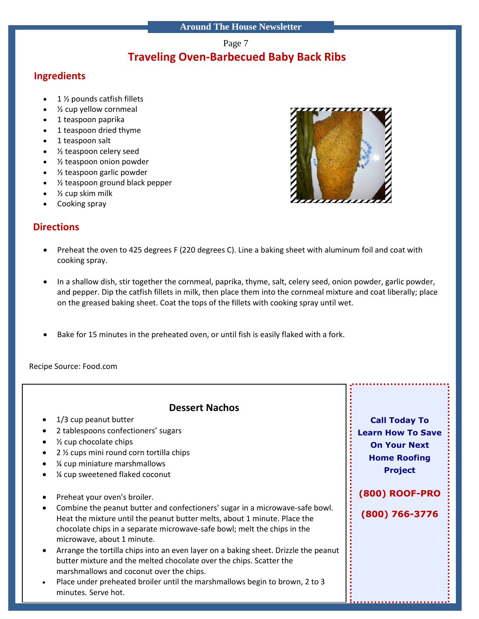#### Page 7

## **Traveling Oven-Barbecued Baby Back Ribs**

## **Ingredients**

- 1 ½ pounds catfish fillets
- ½ cup yellow cornmeal
- 1 teaspoon paprika
- 1 teaspoon dried thyme
- 1 teaspoon salt
- ½ teaspoon celery seed
- ½ teaspoon onion powder
- ½ teaspoon garlic powder
- ½ teaspoon ground black pepper
- ½ cup skim milk
- Cooking spray

## **Directions**

- Preheat the oven to 425 degrees F (220 degrees C). Line a baking sheet with aluminum foil and coat with cooking spray.
- In a shallow dish, stir together the cornmeal, paprika, thyme, salt, celery seed, onion powder, garlic powder, and pepper. Dip the catfish fillets in milk, then place them into the cornmeal mixture and coat liberally; place on the greased baking sheet. Coat the tops of the fillets with cooking spray until wet.
- Bake for 15 minutes in the preheated oven, or until fish is easily flaked with a fork.

Recipe Source: Food.com



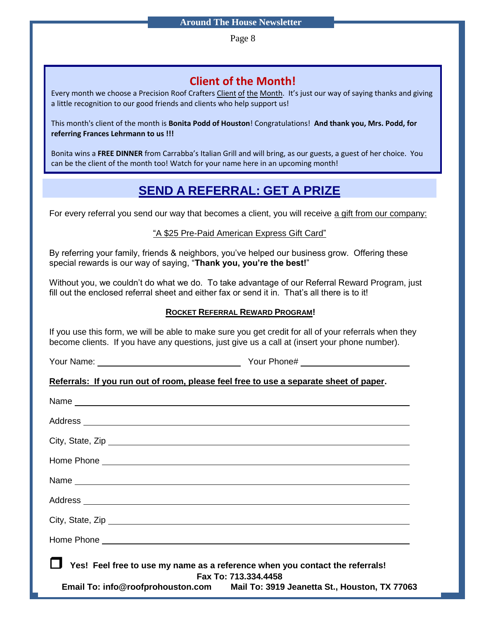Page 8

## **Client of the Month!**

Every month we choose a Precision Roof Crafters Client of the Month. It's just our way of saying thanks and giving a little recognition to our good friends and clients who help support us!

This month's client of the month is **Bonita Podd of Houston**! Congratulations! **And thank you, Mrs. Podd, for referring Frances Lehrmann to us !!!**

Bonita wins a **FREE DINNER** from Carrabba's Italian Grill and will bring, as our guests, a guest of her choice. You can be the client of the month too! Watch for your name here in an upcoming month!

## **SEND A REFERRAL: GET A PRIZE**

For every referral you send our way that becomes a client, you will receive a gift from our company:

#### "A \$25 Pre-Paid American Express Gift Card"

By referring your family, friends & neighbors, you've helped our business grow. Offering these special rewards is our way of saying, "**Thank you, you're the best!**"

Without you, we couldn't do what we do. To take advantage of our Referral Reward Program, just fill out the enclosed referral sheet and either fax or send it in. That's all there is to it!

#### **ROCKET REFERRAL REWARD PROGRAM!**

If you use this form, we will be able to make sure you get credit for all of your referrals when they become clients. If you have any questions, just give us a call at (insert your phone number).

Your Name: Your Phone#

**Referrals: If you run out of room, please feel free to use a separate sheet of paper.**

| □ Yes! Feel free to use my name as a reference when you contact the referrals! | Fax To: 713.334.4458                                                            |
|--------------------------------------------------------------------------------|---------------------------------------------------------------------------------|
|                                                                                | Email To: info@roofprohouston.com Mail To: 3919 Jeanetta St., Houston, TX 77063 |